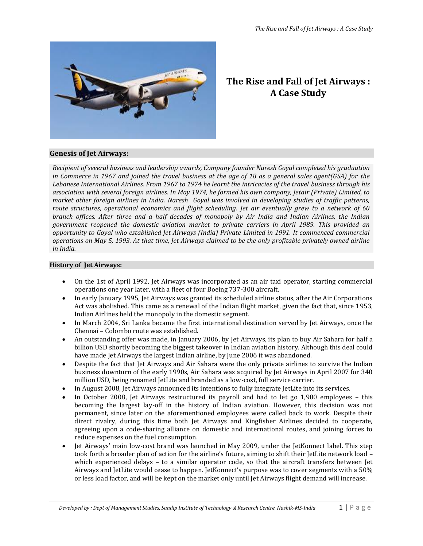

# **The Rise and Fall of Jet Airways : A Case Study**

# **Genesis of Jet Airways:**

*Recipient of several business and leadership awards, Company founder Naresh Goyal completed his graduation in Commerce in 1967 and joined the travel business at the age of 18 as a general sales agent(GSA) for the Lebanese International Airlines. From 1967 to 1974 he learnt the intricacies of the travel business through his association with several foreign airlines. In May 1974, he formed his own company, Jetair (Private) Limited, to market other foreign airlines in India. Naresh Goyal was involved in developing studies of traffic patterns, route structures, operational economics and flight scheduling. Jet air eventually grew to a network of 60 branch offices. After three and a half decades of monopoly by Air India and Indian Airlines, the Indian government reopened the domestic aviation market to private carriers in April 1989. This provided an opportunity to Goyal who established Jet Airways (India) Private Limited in 1991. It commenced commercial operations on May 5, 1993. At that time, Jet Airways claimed to be the only profitable privately owned airline in India.*

# **History of Jet Airways:**

- On the 1st of April 1992, Jet Airways was incorporated as an air taxi operator, starting commercial operations one year later, with a fleet of four Boeing 737-300 aircraft.
- In early January 1995, Jet Airways was granted its scheduled airline status, after the Air Corporations Act was abolished. This came as a renewal of the Indian flight market, given the fact that, since 1953, Indian Airlines held the monopoly in the domestic segment.
- In March 2004, Sri Lanka became the first international destination served by Jet Airways, once the Chennai – Colombo route was established.
- An outstanding offer was made, in January 2006, by Jet Airways, its plan to buy Air Sahara for half a billion USD shortly becoming the biggest takeover in Indian aviation history. Although this deal could have made Jet Airways the largest Indian airline, by June 2006 it was abandoned.
- Despite the fact that Jet Airways and Air Sahara were the only private airlines to survive the Indian business downturn of the early 1990s, Air Sahara was acquired by Jet Airways in April 2007 for 340 million USD, being renamed JetLite and branded as a low-cost, full service carrier.
- In August 2008, Jet Airways announced its intentions to fully integrate JetLite into its services.
- In October 2008, Jet Airways restructured its payroll and had to let go 1,900 employees this becoming the largest lay-off in the history of Indian aviation. However, this decision was not permanent, since later on the aforementioned employees were called back to work. Despite their direct rivalry, during this time both Jet Airways and Kingfisher Airlines decided to cooperate, agreeing upon a code-sharing alliance on domestic and international routes, and joining forces to reduce expenses on the fuel consumption.
- Jet Airways' main low-cost brand was launched in May 2009, under the JetKonnect label. This step took forth a broader plan of action for the airline's future, aiming to shift their JetLite network load – which experienced delays – to a similar operator code, so that the aircraft transfers between Jet Airways and JetLite would cease to happen. JetKonnect's purpose was to cover segments with a 50% or less load factor, and will be kept on the market only until Jet Airways flight demand will increase.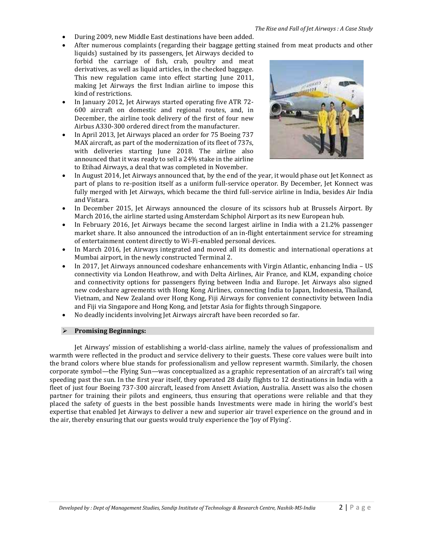- During 2009, new Middle East destinations have been added.
- After numerous complaints (regarding their baggage getting stained from meat products and other
- liquids) sustained by its passengers, Jet Airways decided to forbid the carriage of fish, crab, poultry and meat derivatives, as well as liquid articles, in the checked baggage. This new regulation came into effect starting June 2011, making Jet Airways the first Indian airline to impose this kind of restrictions.
- In January 2012, Jet Airways started operating five ATR 72- 600 aircraft on domestic and regional routes, and, in December, the airline took delivery of the first of four new Airbus A330-300 ordered direct from the manufacturer.
- In April 2013, Jet Airways placed an order for 75 Boeing 737 MAX aircraft, as part of the modernization of its fleet of 737s, with deliveries starting June 2018. The airline also announced that it was ready to sell a 24% stake in the airline to Etihad Airways, a deal that was completed in November.



- In August 2014, Jet Airways announced that, by the end of the year, it would phase out Jet Konnect as part of plans to re-position itself as a uniform full-service operator. By December, Jet Konnect was fully merged with Jet Airways, which became the third full-service airline in India, besides Air India and Vistara.
- In December 2015, Jet Airways announced the closure of its scissors hub at Brussels Airport. By March 2016, the airline started using Amsterdam Schiphol Airport as its new European hub.
- In February 2016, Jet Airways became the second largest airline in India with a 21.2% passenger market share. It also announced the introduction of an in-flight entertainment service for streaming of entertainment content directly to Wi-Fi-enabled personal devices.
- In March 2016, Jet Airways integrated and moved all its domestic and international operations at Mumbai airport, in the newly constructed Terminal 2.
- In 2017, Jet Airways announced codeshare enhancements with Virgin Atlantic, enhancing India US connectivity via London Heathrow, and with Delta Airlines, Air France, and KLM, expanding choice and connectivity options for passengers flying between India and Europe. Jet Airways also signed new codeshare agreements with Hong Kong Airlines, connecting India to Japan, Indonesia, Thailand, Vietnam, and New Zealand over Hong Kong, Fiji Airways for convenient connectivity between India and Fiji via Singapore and Hong Kong, and Jetstar Asia for flights through Singapore.
- No deadly incidents involving Jet Airways aircraft have been recorded so far.

#### **Promising Beginnings:**

Jet Airways' mission of establishing a world-class airline, namely the values of professionalism and warmth were reflected in the product and service delivery to their guests. These core values were built into the brand colors where blue stands for professionalism and yellow represent warmth. Similarly, the chosen corporate symbol—the Flying Sun—was conceptualized as a graphic representation of an aircraft's tail wing speeding past the sun. In the first year itself, they operated 28 daily flights to 12 destinations in India with a fleet of just four Boeing 737-300 aircraft, leased from Ansett Aviation, Australia. Ansett was also the chosen partner for training their pilots and engineers, thus ensuring that operations were reliable and that they placed the safety of guests in the best possible hands Investments were made in hiring the world's best expertise that enabled Jet Airways to deliver a new and superior air travel experience on the ground and in the air, thereby ensuring that our guests would truly experience the 'Joy of Flying'.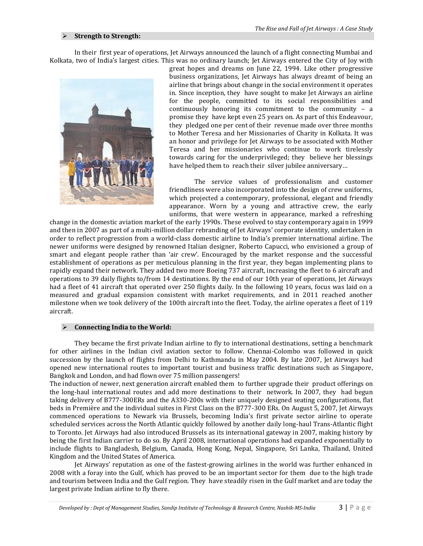#### **Strength to Strength:**

In their first year of operations, Jet Airways announced the launch of a flight connecting Mumbai and Kolkata, two of India's largest cities. This was no ordinary launch; Jet Airways entered the City of Joy with



great hopes and dreams on June 22, 1994. Like other progressive business organizations, Jet Airways has always dreamt of being an airline that brings about change in the social environment it operates in. Since inception, they have sought to make Jet Airways an airline for the people, committed to its social responsibilities and continuously honoring its commitment to the community – a promise they have kept even 25 years on. As part of this Endeavour, they pledged one per cent of their revenue made over three months to Mother Teresa and her Missionaries of Charity in Kolkata. It was an honor and privilege for Jet Airways to be associated with Mother Teresa and her missionaries who continue to work tirelessly towards caring for the underprivileged; they believe her blessings have helped them to reach their silver jubilee anniversary…

The service values of professionalism and customer friendliness were also incorporated into the design of crew uniforms, which projected a contemporary, professional, elegant and friendly appearance. Worn by a young and attractive crew, the early uniforms, that were western in appearance, marked a refreshing

change in the domestic aviation market of the early 1990s. These evolved to stay contemporary again in 1999 and then in 2007 as part of a multi-million dollar rebranding of Jet Airways' corporate identity, undertaken in order to reflect progression from a world-class domestic airline to India's premier international airline. The newer uniforms were designed by renowned Italian designer, Roberto Capucci, who envisioned a group of smart and elegant people rather than 'air crew'. Encouraged by the market response and the successful establishment of operations as per meticulous planning in the first year, they began implementing plans to rapidly expand their network. They added two more Boeing 737 aircraft, increasing the fleet to 6 aircraft and operations to 39 daily flights to/from 14 destinations. By the end of our 10th year of operations, Jet Airways had a fleet of 41 aircraft that operated over 250 flights daily. In the following 10 years, focus was laid on a measured and gradual expansion consistent with market requirements, and in 2011 reached another milestone when we took delivery of the 100th aircraft into the fleet. Today, the airline operates a fleet of 119 aircraft.

#### **Connecting India to the World:**

They became the first private Indian airline to fly to international destinations, setting a benchmark for other airlines in the Indian civil aviation sector to follow. Chennai-Colombo was followed in quick succession by the launch of flights from Delhi to Kathmandu in May 2004. By late 2007, Jet Airways had opened new international routes to important tourist and business traffic destinations such as Singapore, Bangkok and London, and had flown over 75 million passengers!

The induction of newer, next generation aircraft enabled them to further upgrade their product offerings on the long-haul international routes and add more destinations to their network. In 2007, they had begun taking delivery of B777-300ERs and the A330-200s with their uniquely designed seating configurations, flat beds in Première and the individual suites in First Class on the B777-300 ERs. On August 5, 2007, Jet Airways commenced operations to Newark via Brussels, becoming India's first private sector airline to operate scheduled services across the North Atlantic quickly followed by another daily long-haul Trans-Atlantic flight to Toronto. Jet Airways had also introduced Brussels as its international gateway in 2007, making history by being the first Indian carrier to do so. By April 2008, international operations had expanded exponentially to include flights to Bangladesh, Belgium, Canada, Hong Kong, Nepal, Singapore, Sri Lanka, Thailand, United Kingdom and the United States of America.

Jet Airways' reputation as one of the fastest-growing airlines in the world was further enhanced in 2008 with a foray into the Gulf, which has proved to be an important sector for them due to the high trade and tourism between India and the Gulf region. They have steadily risen in the Gulf market and are today the largest private Indian airline to fly there.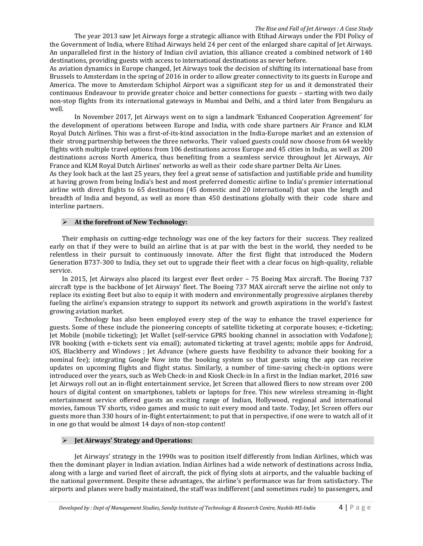The year 2013 saw Jet Airways forge a strategic alliance with Etihad Airways under the FDI Policy of the Government of India, where Etihad Airways held 24 per cent of the enlarged share capital of Jet Airways. An unparalleled first in the history of Indian civil aviation, this alliance created a combined network of 140 destinations, providing guests with access to international destinations as never before.

As aviation dynamics in Europe changed, Jet Airways took the decision of shifting its international base from Brussels to Amsterdam in the spring of 2016 in order to allow greater connectivity to its guests in Europe and America. The move to Amsterdam Schiphol Airport was a significant step for us and it demonstrated their continuous Endeavour to provide greater choice and better connections for guests – starting with two daily non-stop flights from its international gateways in Mumbai and Delhi, and a third later from Bengaluru as well.

In November 2017, Jet Airways went on to sign a landmark 'Enhanced Cooperation Agreement' for the development of operations between Europe and India, with code share partners Air France and KLM Royal Dutch Airlines. This was a first-of-its-kind association in the India-Europe market and an extension of their strong partnership between the three networks. Their valued guests could now choose from 64 weekly flights with multiple travel options from 106 destinations across Europe and 45 cities in India, as well as 200 destinations across North America, thus benefiting from a seamless service throughout Jet Airways, Air France and KLM Royal Dutch Airlines' networks as well as their code share partner Delta Air Lines.

As they look back at the last 25 years, they feel a great sense of satisfaction and justifiable pride and humility at having grown from being India's best and most preferred domestic airline to India's premier international airline with direct flights to 65 destinations (45 domestic and 20 international) that span the length and breadth of India and beyond, as well as more than 450 destinations globally with their code share and interline partners.

#### **At the forefront of New Technology:**

Their emphasis on cutting-edge technology was one of the key factors for their success. They realized early on that if they were to build an airline that is at par with the best in the world, they needed to be relentless in their pursuit to continuously innovate. After the first flight that introduced the Modern Generation B737-300 to India, they set out to upgrade their fleet with a clear focus on high-quality, reliable service.

In 2015, Jet Airways also placed its largest ever fleet order – 75 Boeing Max aircraft. The Boeing 737 aircraft type is the backbone of Jet Airways' fleet. The Boeing 737 MAX aircraft serve the airline not only to replace its existing fleet but also to equip it with modern and environmentally progressive airplanes thereby fueling the airline's expansion strategy to support its network and growth aspirations in the world's fastest growing aviation market.

Technology has also been employed every step of the way to enhance the travel experience for guests. Some of these include the pioneering concepts of satellite ticketing at corporate houses; e-ticketing; Jet Mobile (mobile ticketing); Jet Wallet (self-service GPRS booking channel in association with Vodafone); IVR booking (with e-tickets sent via email); automated ticketing at travel agents; mobile apps for Android, iOS, Blackberry and Windows ; Jet Advance (where guests have flexibility to advance their booking for a nominal fee); integrating Google Now into the booking system so that guests using the app can receive updates on upcoming flights and flight status. Similarly, a number of time-saving check-in options were introduced over the years, such as Web Check-in and Kiosk Check-in In a first in the Indian market, 2016 saw Jet Airways roll out an in-flight entertainment service, Jet Screen that allowed fliers to now stream over 200 hours of digital content on smartphones, tablets or laptops for free. This new wireless streaming in-flight entertainment service offered guests an exciting range of Indian, Hollywood, regional and international movies, famous TV shorts, video games and music to suit every mood and taste. Today, Jet Screen offers our guests more than 330 hours of in-flight entertainment; to put that in perspective, if one were to watch all of it in one go that would be almost 14 days of non-stop content!

#### **Jet Airways' Strategy and Operations:**

Jet Airways' strategy in the 1990s was to position itself differently from Indian Airlines, which was then the dominant player in Indian aviation. Indian Airlines had a wide network of destinations across India, along with a large and varied fleet of aircraft, the pick of flying slots at airports, and the valuable backing of the national government. Despite these advantages, the airline's performance was far from satisfactory. The airports and planes were badly maintained, the staff was indifferent (and sometimes rude) to passengers, and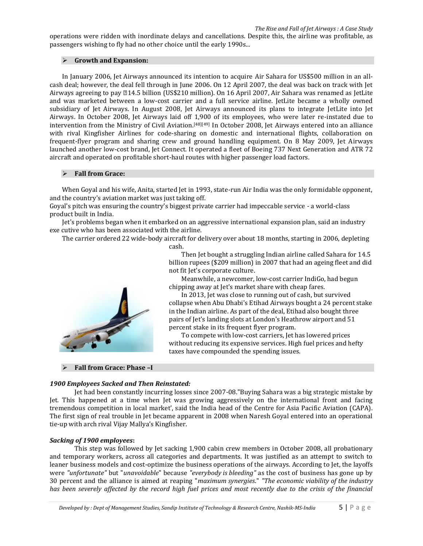operations were ridden with inordinate delays and cancellations. Despite this, the airline was profitable, as passengers wishing to fly had no other choice until the early 1990s...

#### **Growth and Expansion:**

In January 2006, Jet Airways announced its intention to acquire [Air Sahara](https://en.wikipedia.org/wiki/Air_Sahara) for US\$500 million in an allcash deal; however, the deal fell through in June 2006. On 12 April 2007, the deal was back on track with Jet Airways agreeing to pay **☆14.5** billion (US\$210 million). On 16 April 2007, Air Sahara was renamed as [JetLite](https://en.wikipedia.org/wiki/JetLite) and was marketed between a low-cost carrier and a full service airline. JetLite became a wholly owned subsidiary of Jet Airways. In August 2008, Jet Airways announced its plans to integrate JetLite into Jet Airways. In October 2008, Jet Airways laid off 1,900 of its employees, who were later re-instated due to intervention from the Ministry of Civil Aviation.[\[48\]\[49\]](https://en.wikipedia.org/wiki/Jet_Airways#cite_note-48) In October 2008, Jet Airways entered into an alliance with rival [Kingfisher Airlines](https://en.wikipedia.org/wiki/Kingfisher_Airlines) for code-sharing on domestic and international flights, collaboration on [frequent-flyer program](https://en.wikipedia.org/wiki/Frequent-flyer_program) and sharing crew and ground handling equipment. On 8 May 2009, Jet Airways launched another low-cost brand, Jet Connect. It operated a fleet of [Boeing 737 Next Generation](https://en.wikipedia.org/wiki/Boeing_737_Next_Generation) and [ATR 72](https://en.wikipedia.org/wiki/ATR_72) aircraft and operated on profitable short-haul routes with highe[r passenger load factors.](https://en.wikipedia.org/wiki/Passenger_load_factor)

#### **Fall from Grace:**

When Goyal and his wife, Anita, started Jet in 1993, state-run Air India was the only formidable opponent, and the country's aviation market was just taking off.

Goyal's pitch was ensuring the country's biggest private carrier had impeccable service - a world-class product built in India.

Jet's problems began when it embarked on an aggressive international expansion plan, said an industry exe cutive who has been associated with the airline.

The carrier ordered 22 wide-body aircraft for delivery over about 18 months, starting in 2006, depleting

cash.

Then Jet bought a struggling Indian airline called Sahara for 14.5 billion rupees (\$209 million) in 2007 that had an ageing fleet and did not fit Jet's corporate culture.

Meanwhile, a newcomer, low-cost carrier IndiGo, had begun chipping away at Jet's market share with cheap fares.

In 2013, Jet was close to running out of cash, but survived collapse when Abu Dhabi's Etihad Airways bought a 24 percent stake in the Indian airline. As part of the deal, Etihad also bought three pairs of Jet's landing slots at London's Heathrow airport and 51 percent stake in its frequent flyer program.

To compete with low-cost carriers, Jet has lowered prices without reducing its expensive services. High fuel prices and hefty taxes have compounded the spending issues.

#### **Fall from Grace: Phase –I**

#### *1900 Employees Sacked and Then Reinstated:*

Jet had been constantly incurring losses since 2007-08."Buying Sahara was a big strategic mistake by Jet. This happened at a time when Jet was growing aggressively on the international front and facing tremendous competition in local market', said the India head of the Centre for Asia Pacific Aviation (CAPA). The first sign of real trouble in Jet became apparent in 2008 when Naresh Goyal entered into an operational tie-up with arch rival Vijay Mallya's Kingfisher.

#### *Sacking of 1900 employees***:**

This step was followed by Jet sacking 1,900 cabin crew members in October 2008, all probationary and temporary workers, across all categories and departments. It was justified as an attempt to switch to leaner business models and cost-optimize the business operations of the airways. According to Jet, the layoffs were *"unfortunate"* but "*unavoidable*" because *"everybody is bleeding"* as the cost of business has gone up by 30 percent and the alliance is aimed at reaping "*maximum synergies*." *"The economic viability of the industry has been severely affected by the record high fuel prices and most recently due to the crisis of the financial* 

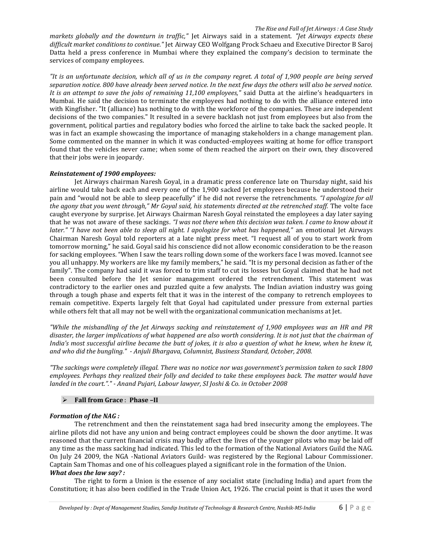*markets globally and the downturn in traffic,"* Jet Airways said in a statement. *"Jet Airways expects these difficult market conditions to continue."* Jet Airway CEO Wolfgang Prock Schaeu and Executive Director B Saroj Datta held a press conference in Mumbai where they explained the company's decision to terminate the services of company employees.

*"It is an unfortunate decision, which all of us in the company regret. A total of 1,900 people are being served separation notice. 800 have already been served notice. In the next few days the others will also be served notice. It is an attempt to save the jobs of remaining 11,100 employees,"* said Dutta at the airline's headquarters in Mumbai. He said the decision to terminate the employees had nothing to do with the alliance entered into with Kingfisher. "It (alliance) has nothing to do with the workforce of the companies. These are independent decisions of the two companies." It resulted in a severe backlash not just from employees but also from the government, political parties and regulatory bodies who forced the airline to take back the sacked people. It was in fact an example showcasing the importance of managing stakeholders in a change management plan. Some commented on the manner in which it was conducted-employees waiting at home for office transport found that the vehicles never came; when some of them reached the airport on their own, they discovered that their jobs were in jeopardy.

#### *Reinstatement of 1900 employees:*

Jet Airways chairman Naresh Goyal, in a dramatic press conference late on Thursday night, said his airline would take back each and every one of the 1,900 sacked Jet employees because he understood their pain and "would not be able to sleep peacefully" if he did not reverse the retrenchments. *"I apologize for all the agony that you went through," Mr Goyal said, his statements directed at the retrenched staff.* The volte face caught everyone by surprise. Jet Airways Chairman Naresh Goyal reinstated the employees a day later saying that he was not aware of these sackings. *"I was not there when this decision was taken. I came to know about it later." "I have not been able to sleep all night. I apologize for what has happened,"* an emotional Jet Airways Chairman Naresh Goyal told reporters at a late night press meet. "I request all of you to start work from tomorrow morning," he said. Goyal said his conscience did not allow economic consideration to be the reason for sacking employees. "When I saw the tears rolling down some of the workers face I was moved. Icannot see you all unhappy. My workers are like my family members," he said. "It is my personal decision as father of the family". The company had said it was forced to trim staff to cut its losses but Goyal claimed that he had not been consulted before the Jet senior management ordered the retrenchment. This statement was contradictory to the earlier ones and puzzled quite a few analysts. The Indian aviation industry was going through a tough phase and experts felt that it was in the interest of the company to retrench employees to remain competitive. Experts largely felt that Goyal had capitulated under pressure from external parties while others felt that all may not be well with the organizational communication mechanisms at Jet.

*"While the mishandling of the Jet Airways sacking and reinstatement of 1,900 employees was an HR and PR disaster, the larger implications of what happened are also worth considering. It is not just that the chairman of India's most successful airline became the butt of jokes, it is also a question of what he knew, when he knew it, and who did the bungling." - Anjuli Bhargava, Columnist, Business Standard, October, 2008.* 

*"The sackings were completely illegal. There was no notice nor was government's permission taken to sack 1800 employees. Perhaps they realized their folly and decided to take these employees back. The matter would have landed in the court."." - Anand Pujari, Labour lawyer, SI Joshi & Co. in October 2008*

# **Fall from Grace** : **Phase –II**

#### *Formation of the NAG :*

The retrenchment and then the reinstatement saga had bred insecurity among the employees. The airline pilots did not have any union and being contract employees could be shown the door anytime. It was reasoned that the current financial crisis may badly affect the lives of the younger pilots who may be laid off any time as the mass sacking had indicated. This led to the formation of the National Aviators Guild the NAG. On July 24 2009, the NGA -National Aviators Guild- was registered by the Regional Labour Commissioner. Captain Sam Thomas and one of his colleagues played a significant role in the formation of the Union. *What does the law say? :*

The right to form a Union is the essence of any socialist state (including India) and apart from the Constitution; it has also been codified in the Trade Union Act, 1926. The crucial point is that it uses the word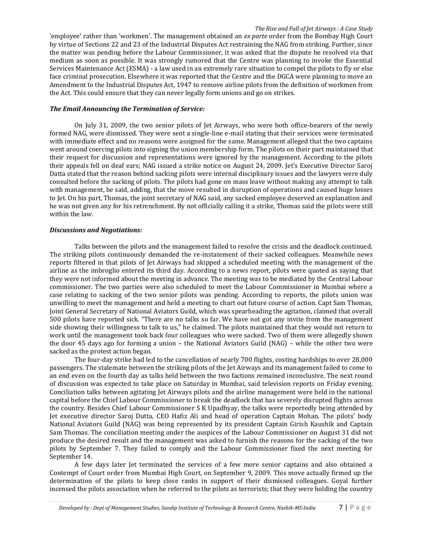'employee' rather than 'workmen'. The management obtained an *ex parte* order from the Bombay High Court by virtue of Sections 22 and 23 of the Industrial Disputes Act restraining the NAG from striking. Further, since the matter was pending before the Labour Commissioner, it was asked that the dispute be resolved via that medium as soon as possible. It was strongly rumored that the Centre was planning to invoke the Essential Services Maintenance Act (ESMA) - a law used in an extremely rare situation to compel the pilots to fly or else face criminal prosecution. Elsewhere it was reported that the Centre and the DGCA were planning to move an Amendment to the Industrial Disputes Act, 1947 to remove airline pilots from the definition of workmen from the Act. This could ensure that they can never legally form unions and go on strikes.

#### *The Email Announcing the Termination of Service:*

On July 31, 2009, the two senior pilots of Jet Airways, who were both office-bearers of the newly formed NAG, were dismissed. They were sent a single-line e-mail stating that their services were terminated with immediate effect and no reasons were assigned for the same. Management alleged that the two captains went around coercing pilots into signing the union membership form. The pilots on their part maintained that their request for discussion and representations were ignored by the management. According to the pilots their appeals fell on deaf ears; NAG issued a strike notice on August 24, 2009. Jet's Executive Director Saroj Datta stated that the reason behind sacking pilots were internal disciplinary issues and the lawyers were duly consulted before the sacking of pilots. The pilots had gone on mass leave without making any attempt to talk with management, he said, adding, that the move resulted in disruption of operations and caused huge losses to Jet. On his part, Thomas, the joint secretary of NAG said, any sacked employee deserved an explanation and he was not given any for his retrenchment. By not officially calling it a strike, Thomas said the pilots were still within the law.

### *Discussions and Negotiations:*

Talks between the pilots and the management failed to resolve the crisis and the deadlock continued. The striking pilots continuously demanded the re-instatement of their sacked colleagues. Meanwhile news reports filtered in that pilots of Jet Airways had skipped a scheduled meeting with the management of the airline as the imbroglio entered its third day. According to a news report, pilots were quoted as saying that they were not informed about the meeting in advance. The meeting was to be mediated by the Central Labour commissioner. The two parties were also scheduled to meet the Labour Commissioner in Mumbai where a case relating to sacking of the two senior pilots was pending. According to reports, the pilots union was unwilling to meet the management and held a meeting to chart out future course of action. Capt Sam Thomas, Joint General Secretary of National Aviators Guild, which was spearheading the agitation, claimed that overall 500 pilots have reported sick. "There are no talks so far. We have not got any invite from the management side showing their willingness to talk to us," he claimed. The pilots maintained that they would not return to work until the management took back four colleagues who were sacked. Two of them were allegedly shown the door 45 days ago for forming a union – the National Aviators Guild (NAG) – while the other two were sacked as the protest action began.

The four-day strike had led to the cancellation of nearly 700 flights, costing hardships to over 28,000 passengers. The stalemate between the striking pilots of the Jet Airways and its management failed to come to an end even on the fourth day as talks held between the two factions remained inconclusive. The next round of discussion was expected to take place on Saturday in Mumbai, said television reports on Friday evening. Conciliation talks between agitating Jet Airways pilots and the airline management were held in the national capital before the Chief Labour Commissioner to break the deadlock that has severely disrupted flights across the country. Besides Chief Labour Commissioner S K Upadhyay, the talks were reportedly being attended by Jet executive director Saroj Dutta, CEO Hafiz Ali and head of operation Captain Mohan. The pilots' body National Aviators Guild (NAG) was being represented by its president Captain Girish Kaushik and Captain Sam Thomas. The conciliation meeting under the auspices of the Labour Commissioner on August 31 did not produce the desired result and the management was asked to furnish the reasons for the sacking of the two pilots by September 7. They failed to comply and the Labour Commissioner fixed the next meeting for September 14.

A few days later Jet terminated the services of a few more senior captains and also obtained a Contempt of Court order from Mumbai High Court, on September 9, 2009. This move actually firmed up the determination of the pilots to keep close ranks in support of their dismissed colleagues. Goyal further incensed the pilots association when he referred to the pilots as terrorists; that they were holding the country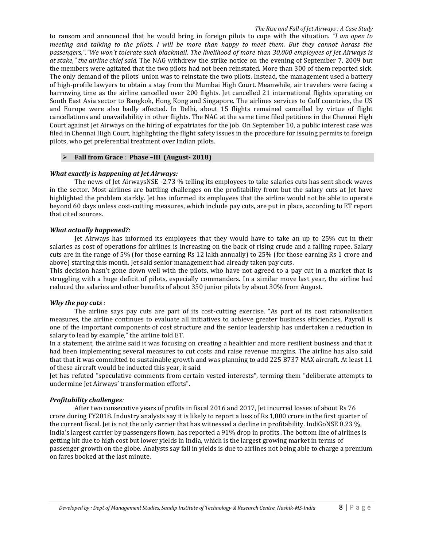to ransom and announced that he would bring in foreign pilots to cope with the situation. *"I am open to meeting and talking to the pilots. I will be more than happy to meet them. But they cannot harass the passengers,"."We won't tolerate such blackmail. The livelihood of more than 30,000 employees of Jet Airways is at stake," the airline chief said.* The NAG withdrew the strike notice on the evening of September 7, 2009 but the members were agitated that the two pilots had not been reinstated. More than 300 of them reported sick. The only demand of the pilots' union was to reinstate the two pilots. Instead, the management used a battery of high-profile lawyers to obtain a stay from the Mumbai High Court. Meanwhile, air travelers were facing a harrowing time as the airline cancelled over 200 flights. Jet cancelled 21 international flights operating on South East Asia sector to Bangkok, Hong Kong and Singapore. The airlines services to Gulf countries, the US and Europe were also badly affected. In Delhi, about 15 flights remained cancelled by virtue of flight cancellations and unavailability in other flights. The NAG at the same time filed petitions in the Chennai High Court against Jet Airways on the hiring of expatriates for the job. On September 10, a public interest case was filed in Chennai High Court, highlighting the flight safety issues in the procedure for issuing permits to foreign pilots, who get preferential treatment over Indian pilots.

### **Fall from Grace** : **Phase –III (August- 2018)**

#### *What exactly is happening at Jet Airways:*

The news of Jet AirwaysNSE -2.73 % telling its employees to take salaries cuts has sent shock waves in the sector. Most airlines are battling challenges on the profitability front but the salary cuts at Jet have highlighted the problem starkly. Jet has informed its employees that the airline would not be able to operate beyond 60 days unless cost-cutting measures, which include pay cuts, are put in place, according to ET report that cited sources.

#### *What actually happened?:*

Jet Airways has informed its employees that they would have to take an up to 25% cut in their salaries as cost of operations for airlines is increasing on the back of rising crude and a falling rupee. Salary cuts are in the range of 5% (for those earning Rs 12 lakh annually) to 25% (for those earning Rs 1 crore and above) starting this month. Jet said senior management had already taken pay cuts.

This decision hasn't gone down well with the pilots, who have not agreed to a pay cut in a market that is struggling with a huge deficit of pilots, especially commanders. In a similar move last year, the airline had reduced the salaries and other benefits of about 350 junior pilots by about 30% from August.

#### *Why the pay cuts :*

The airline says pay cuts are part of its cost-cutting exercise. "As part of its cost rationalisation measures, the airline continues to evaluate all initiatives to achieve greater business efficiencies. Payroll is one of the important components of cost structure and the senior leadership has undertaken a reduction in salary to lead by example," the airline told ET.

In a statement, the airline said it was focusing on creating a healthier and more resilient business and that it had been implementing several measures to cut costs and raise revenue margins. The airline has also said that that it was committed to sustainable growth and was planning to add 225 B737 MAX aircraft. At least 11 of these aircraft would be inducted this year, it said.

Jet has refuted "speculative comments from certain vested interests", terming them "deliberate attempts to undermine Jet Airways' transformation efforts".

#### *Profitability challenges:*

After two consecutive years of profits in fiscal 2016 and 2017, Jet incurred losses of about Rs 76 crore during FY2018. Industry analysts say it is likely to report a loss of Rs 1,000 crore in the first quarter of the current fiscal. Jet is not the only carrier that has witnessed a decline in profitability. IndiGoNSE 0.23 %, India's largest carrier by passengers flown, has reported a 91% drop in profits .The bottom line of airlines is getting hit due to high cost but lower yields in India, which is the largest growing market in terms of passenger growth on the globe. Analysts say fall in yields is due to airlines not being able to charge a premium on fares booked at the last minute.